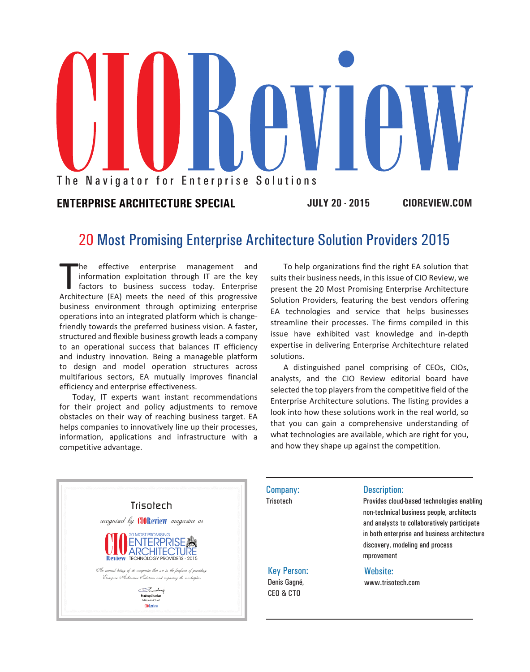

## **ENTERPRISE ARCHITECTURE SPECIAL JULY 20 - 2015 CIOREVIEW.COM**

# 20 Most Promising Enterprise Architecture Solution Providers 2015

The effective enterprise management and<br>information exploitation through IT are the key<br>factors to business success today. Enterprise<br>Architecture (EA) meets the need of this progressive he effective enterprise management and information exploitation through IT are the key factors to business success today. Enterprise business environment through optimizing enterprise operations into an integrated platform which is changefriendly towards the preferred business vision. A faster, structured and flexible business growth leads a company to an operational success that balances IT efficiency and industry innovation. Being a manageble platform to design and model operation structures across multifarious sectors, EA mutually improves financial efficiency and enterprise effectiveness.

Today, IT experts want instant recommendations for their project and policy adjustments to remove obstacles on their way of reaching business target. EA helps companies to innovatively line up their processes, information, applications and infrastructure with a competitive advantage.

To help organizations find the right EA solution that suits their business needs, in this issue of CIO Review, we present the 20 Most Promising Enterprise Architecture Solution Providers, featuring the best vendors offering EA technologies and service that helps businesses streamline their processes. The firms compiled in this issue have exhibited vast knowledge and in-depth expertise in delivering Enterprise Architechture related solutions.

A distinguished panel comprising of CEOs, CIOs, analysts, and the CIO Review editorial board have selected the top players from the competitive field of the Enterprise Architecture solutions. The listing provides a look into how these solutions work in the real world, so that you can gain a comprehensive understanding of what technologies are available, which are right for you, and how they shape up against the competition.



Company: **Trisotech** 

Key Person: Denis Gagné, CEO & CTO

#### Description:

Provides cloud-based technologies enabling non-technical business people, architects and analysts to collaboratively participate in both enterprise and business architecture discovery, modeling and process mprovement

#### Website:

www.trisotech.com